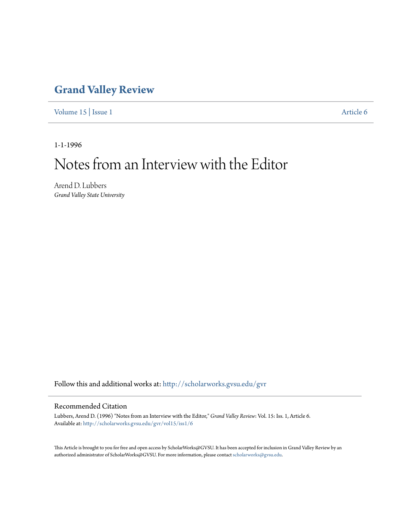## **[Grand Valley Review](http://scholarworks.gvsu.edu/gvr?utm_source=scholarworks.gvsu.edu%2Fgvr%2Fvol15%2Fiss1%2F6&utm_medium=PDF&utm_campaign=PDFCoverPages)**

[Volume 15](http://scholarworks.gvsu.edu/gvr/vol15?utm_source=scholarworks.gvsu.edu%2Fgvr%2Fvol15%2Fiss1%2F6&utm_medium=PDF&utm_campaign=PDFCoverPages) | [Issue 1](http://scholarworks.gvsu.edu/gvr/vol15/iss1?utm_source=scholarworks.gvsu.edu%2Fgvr%2Fvol15%2Fiss1%2F6&utm_medium=PDF&utm_campaign=PDFCoverPages) [Article 6](http://scholarworks.gvsu.edu/gvr/vol15/iss1/6?utm_source=scholarworks.gvsu.edu%2Fgvr%2Fvol15%2Fiss1%2F6&utm_medium=PDF&utm_campaign=PDFCoverPages)

1-1-1996

# Notes from an Interview with the Editor

Arend D. Lubbers *Grand Valley State University*

Follow this and additional works at: [http://scholarworks.gvsu.edu/gvr](http://scholarworks.gvsu.edu/gvr?utm_source=scholarworks.gvsu.edu%2Fgvr%2Fvol15%2Fiss1%2F6&utm_medium=PDF&utm_campaign=PDFCoverPages)

#### Recommended Citation

Lubbers, Arend D. (1996) "Notes from an Interview with the Editor," *Grand Valley Review*: Vol. 15: Iss. 1, Article 6. Available at: [http://scholarworks.gvsu.edu/gvr/vol15/iss1/6](http://scholarworks.gvsu.edu/gvr/vol15/iss1/6?utm_source=scholarworks.gvsu.edu%2Fgvr%2Fvol15%2Fiss1%2F6&utm_medium=PDF&utm_campaign=PDFCoverPages)

This Article is brought to you for free and open access by ScholarWorks@GVSU. It has been accepted for inclusion in Grand Valley Review by an authorized administrator of ScholarWorks@GVSU. For more information, please contact [scholarworks@gvsu.edu.](mailto:scholarworks@gvsu.edu)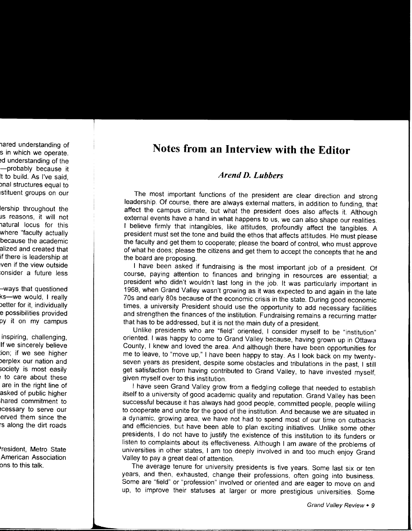## **Notes from an Interview with the Editor**

### *Arend D. Lubbers*

The most important functions of the president are clear direction and strong leadership. Of course, there are always external matters, in addition to funding, that affect the campus climate, but what the president does also affects it. Although external events have a hand in what happens to us, we can also shape our realities. I believe firmly that intangibles, like attitudes, profoundly affect the tangibles. A president must set the tone and build the ethos that affects attitudes. He must please the faculty and get them to cooperate; please the board of control, who must approve of what he does; please the citizens and get them to accept the concepts that he and the board are proposing.

I have been asked if fundraising is the most important job of a president. Of course, paying attention to finances and bringing in resources are essential; a president who didn't wouldn't last long in the job. It was particularly important in 1968, when Grand Valley wasn't growing as it was expected to and again in the late 70s and early 80s because of the economic crisis in the state. During good economic times, a university President should use the opportunity to add necessary facilities and strengthen the finances of the institution. Fundraising remains a recurring matter that has to be addressed, but it is not the main duty of a president.

Unlike presidents who are "field" oriented, I consider myself to be "institution" oriented. I was happy to come to Grand Valley because, having grown up in Ottawa County, I knew and loved the area. And although there have been opportunities for me to leave, to "move up," I have been happy to stay. As I look back on my twentyseven years as president, despite some obstacles and tribulations in the past, I still get satisfaction from having contributed to Grand Valley, to have invested myself, given myself over to this institution.

I have seen Grand Valley grow from a fledgling college that needed to establish itself to a university of good academic quality and reputation. Grand Valley has been successful because it has always had good people, committed people, people willing to cooperate and unite for the good of the institution. And because we are situated in a dynamic, growing area, we have not had to spend most of our time on cutbacks and efficiencies, but have been able to plan exciting initiatives. Unlike some other presidents, I do not have to justify the existence of this institution to its funders or listen to complaints about its effectiveness. Although I am aware of the problems of universities in other states, I am too deeply involved in and too much enjoy Grand Valley to pay a great deal of attention.

The average tenure for university presidents is five years. Some last six or ten years, and then, exhausted, change their professions, often going into business. Some are "field" or "profession" involved or oriented and are eager to move on and up, to improve their statuses at larger or more prestigious universities. Some